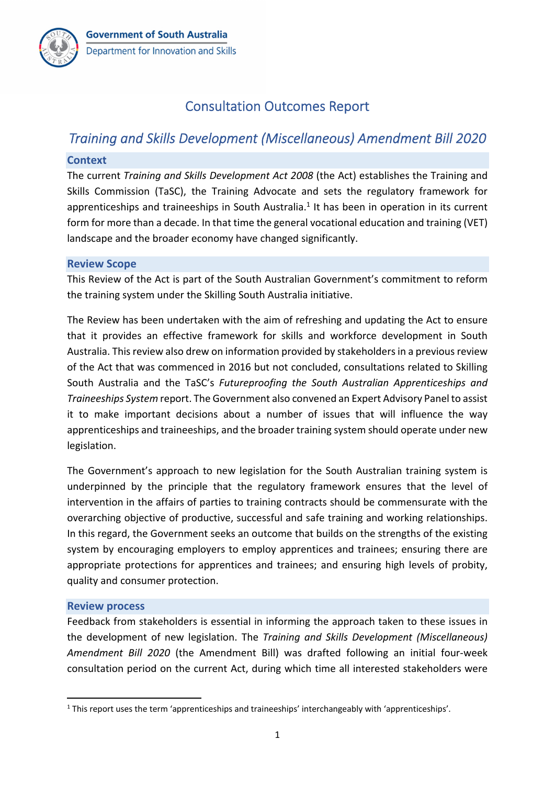# Consultation Outcomes Report

# *Training and Skills Development (Miscellaneous) Amendment Bill 2020*

#### **Context**

The current *Training and Skills Development Act 2008* (the Act) establishes the Training and Skills Commission (TaSC), the Training Advocate and sets the regulatory framework for apprenticeships and traineeships in South Australia.<sup>1</sup> It has been in operation in its current form for more than a decade. In that time the general vocational education and training (VET) landscape and the broader economy have changed significantly.

#### **Review Scope**

This Review of the Act is part of the South Australian Government's commitment to reform the training system under the Skilling South Australia initiative.

The Review has been undertaken with the aim of refreshing and updating the Act to ensure that it provides an effective framework for skills and workforce development in South Australia. This review also drew on information provided by stakeholders in a previous review of the Act that was commenced in 2016 but not concluded, consultations related to Skilling South Australia and the TaSC's *Futureproofing the South Australian Apprenticeships and Traineeships System* report. The Government also convened an Expert Advisory Panelto assist it to make important decisions about a number of issues that will influence the way apprenticeships and traineeships, and the broader training system should operate under new legislation.

The Government's approach to new legislation for the South Australian training system is underpinned by the principle that the regulatory framework ensures that the level of intervention in the affairs of parties to training contracts should be commensurate with the overarching objective of productive, successful and safe training and working relationships. In this regard, the Government seeks an outcome that builds on the strengths of the existing system by encouraging employers to employ apprentices and trainees; ensuring there are appropriate protections for apprentices and trainees; and ensuring high levels of probity, quality and consumer protection.

#### **Review process**

Feedback from stakeholders is essential in informing the approach taken to these issues in the development of new legislation. The *Training and Skills Development (Miscellaneous) Amendment Bill 2020* (the Amendment Bill) was drafted following an initial four‐week consultation period on the current Act, during which time all interested stakeholders were

<sup>1</sup> This report uses the term 'apprenticeships and traineeships' interchangeably with 'apprenticeships'.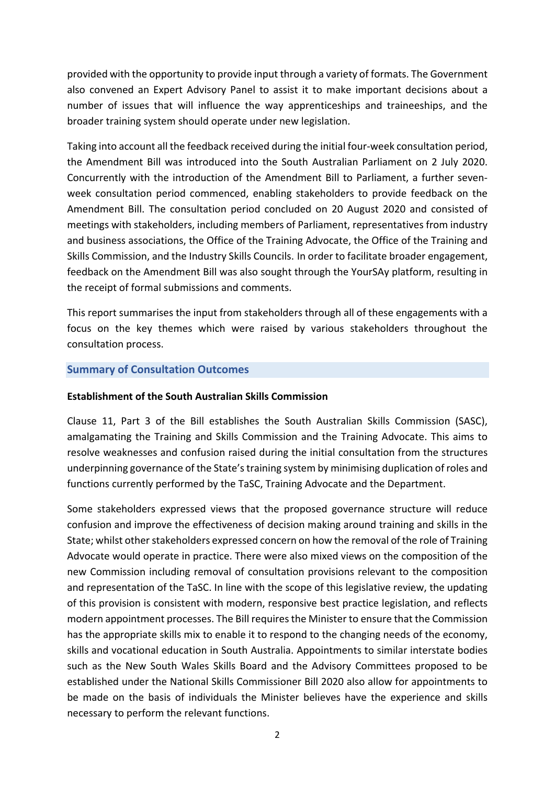provided with the opportunity to provide input through a variety of formats. The Government also convened an Expert Advisory Panel to assist it to make important decisions about a number of issues that will influence the way apprenticeships and traineeships, and the broader training system should operate under new legislation.

Taking into account all the feedback received during the initial four‐week consultation period, the Amendment Bill was introduced into the South Australian Parliament on 2 July 2020. Concurrently with the introduction of the Amendment Bill to Parliament, a further seven‐ week consultation period commenced, enabling stakeholders to provide feedback on the Amendment Bill. The consultation period concluded on 20 August 2020 and consisted of meetings with stakeholders, including members of Parliament, representatives from industry and business associations, the Office of the Training Advocate, the Office of the Training and Skills Commission, and the Industry Skills Councils. In order to facilitate broader engagement, feedback on the Amendment Bill was also sought through the YourSAy platform, resulting in the receipt of formal submissions and comments.

This report summarises the input from stakeholders through all of these engagements with a focus on the key themes which were raised by various stakeholders throughout the consultation process.

#### **Summary of Consultation Outcomes**

#### **Establishment of the South Australian Skills Commission**

Clause 11, Part 3 of the Bill establishes the South Australian Skills Commission (SASC), amalgamating the Training and Skills Commission and the Training Advocate. This aims to resolve weaknesses and confusion raised during the initial consultation from the structures underpinning governance of the State's training system by minimising duplication of roles and functions currently performed by the TaSC, Training Advocate and the Department.

Some stakeholders expressed views that the proposed governance structure will reduce confusion and improve the effectiveness of decision making around training and skills in the State; whilst other stakeholders expressed concern on how the removal of the role of Training Advocate would operate in practice. There were also mixed views on the composition of the new Commission including removal of consultation provisions relevant to the composition and representation of the TaSC. In line with the scope of this legislative review, the updating of this provision is consistent with modern, responsive best practice legislation, and reflects modern appointment processes. The Bill requiresthe Minister to ensure that the Commission has the appropriate skills mix to enable it to respond to the changing needs of the economy, skills and vocational education in South Australia. Appointments to similar interstate bodies such as the New South Wales Skills Board and the Advisory Committees proposed to be established under the National Skills Commissioner Bill 2020 also allow for appointments to be made on the basis of individuals the Minister believes have the experience and skills necessary to perform the relevant functions.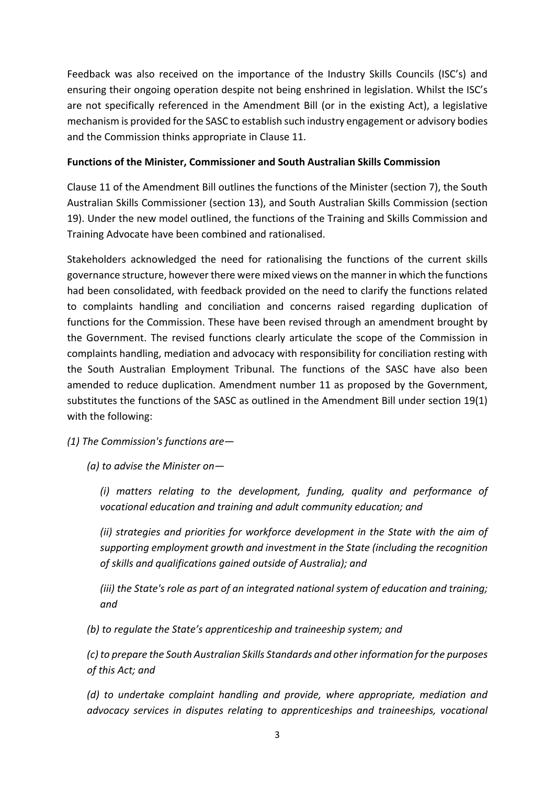Feedback was also received on the importance of the Industry Skills Councils (ISC's) and ensuring their ongoing operation despite not being enshrined in legislation. Whilst the ISC's are not specifically referenced in the Amendment Bill (or in the existing Act), a legislative mechanism is provided for the SASC to establish such industry engagement or advisory bodies and the Commission thinks appropriate in Clause 11.

## **Functions of the Minister, Commissioner and South Australian Skills Commission**

Clause 11 of the Amendment Bill outlines the functions of the Minister (section 7), the South Australian Skills Commissioner (section 13), and South Australian Skills Commission (section 19). Under the new model outlined, the functions of the Training and Skills Commission and Training Advocate have been combined and rationalised.

Stakeholders acknowledged the need for rationalising the functions of the current skills governance structure, however there were mixed views on the manner in which the functions had been consolidated, with feedback provided on the need to clarify the functions related to complaints handling and conciliation and concerns raised regarding duplication of functions for the Commission. These have been revised through an amendment brought by the Government. The revised functions clearly articulate the scope of the Commission in complaints handling, mediation and advocacy with responsibility for conciliation resting with the South Australian Employment Tribunal. The functions of the SASC have also been amended to reduce duplication. Amendment number 11 as proposed by the Government, substitutes the functions of the SASC as outlined in the Amendment Bill under section 19(1) with the following:

*(1) The Commission's functions are—* 

*(a) to advise the Minister on—*

*(i) matters relating to the development, funding, quality and performance of vocational education and training and adult community education; and* 

*(ii) strategies and priorities for workforce development in the State with the aim of supporting employment growth and investment in the State (including the recognition of skills and qualifications gained outside of Australia); and* 

*(iii) the State's role as part of an integrated national system of education and training; and* 

*(b) to regulate the State's apprenticeship and traineeship system; and* 

*(c) to prepare the South Australian Skills Standards and otherinformation for the purposes of this Act; and* 

*(d) to undertake complaint handling and provide, where appropriate, mediation and advocacy services in disputes relating to apprenticeships and traineeships, vocational*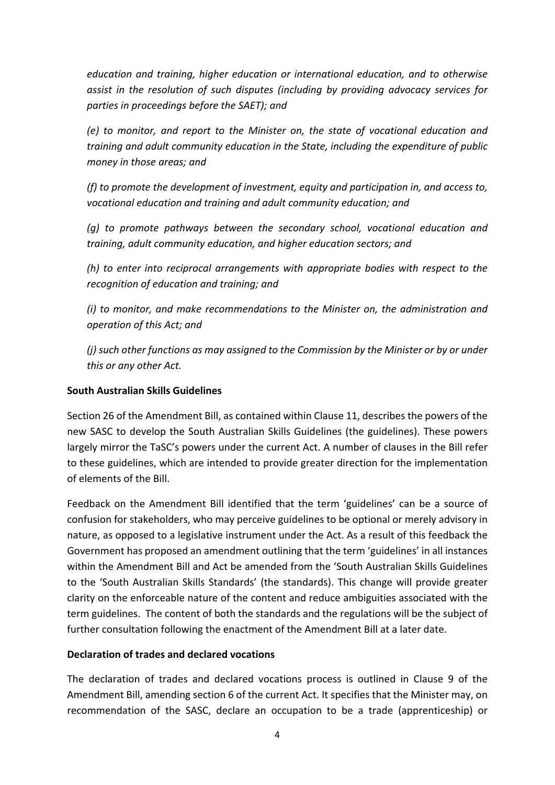*education and training, higher education or international education, and to otherwise assist in the resolution of such disputes (including by providing advocacy services for parties in proceedings before the SAET); and* 

*(e) to monitor, and report to the Minister on, the state of vocational education and training and adult community education in the State, including the expenditure of public money in those areas; and* 

*(f) to promote the development of investment, equity and participation in, and access to, vocational education and training and adult community education; and* 

*(g) to promote pathways between the secondary school, vocational education and training, adult community education, and higher education sectors; and* 

*(h) to enter into reciprocal arrangements with appropriate bodies with respect to the recognition of education and training; and* 

*(i) to monitor, and make recommendations to the Minister on, the administration and operation of this Act; and* 

*(j) such other functions as may assigned to the Commission by the Minister or by or under this or any other Act.*

# **South Australian Skills Guidelines**

Section 26 of the Amendment Bill, as contained within Clause 11, describes the powers of the new SASC to develop the South Australian Skills Guidelines (the guidelines). These powers largely mirror the TaSC's powers under the current Act. A number of clauses in the Bill refer to these guidelines, which are intended to provide greater direction for the implementation of elements of the Bill.

Feedback on the Amendment Bill identified that the term 'guidelines' can be a source of confusion for stakeholders, who may perceive guidelines to be optional or merely advisory in nature, as opposed to a legislative instrument under the Act. As a result of this feedback the Government has proposed an amendment outlining that the term 'guidelines' in all instances within the Amendment Bill and Act be amended from the 'South Australian Skills Guidelines to the 'South Australian Skills Standards' (the standards). This change will provide greater clarity on the enforceable nature of the content and reduce ambiguities associated with the term guidelines. The content of both the standards and the regulations will be the subject of further consultation following the enactment of the Amendment Bill at a later date.

## **Declaration of trades and declared vocations**

The declaration of trades and declared vocations process is outlined in Clause 9 of the Amendment Bill, amending section 6 of the current Act. It specifies that the Minister may, on recommendation of the SASC, declare an occupation to be a trade (apprenticeship) or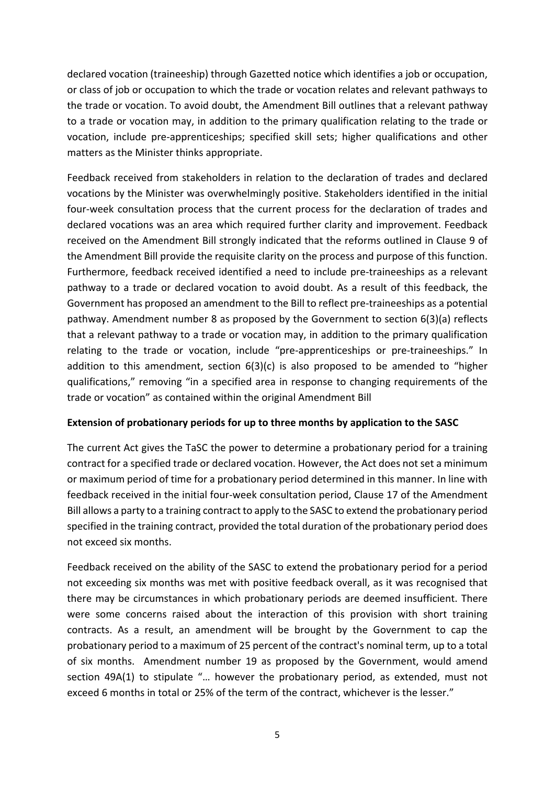declared vocation (traineeship) through Gazetted notice which identifies a job or occupation, or class of job or occupation to which the trade or vocation relates and relevant pathways to the trade or vocation. To avoid doubt, the Amendment Bill outlines that a relevant pathway to a trade or vocation may, in addition to the primary qualification relating to the trade or vocation, include pre‐apprenticeships; specified skill sets; higher qualifications and other matters as the Minister thinks appropriate.

Feedback received from stakeholders in relation to the declaration of trades and declared vocations by the Minister was overwhelmingly positive. Stakeholders identified in the initial four-week consultation process that the current process for the declaration of trades and declared vocations was an area which required further clarity and improvement. Feedback received on the Amendment Bill strongly indicated that the reforms outlined in Clause 9 of the Amendment Bill provide the requisite clarity on the process and purpose of this function. Furthermore, feedback received identified a need to include pre‐traineeships as a relevant pathway to a trade or declared vocation to avoid doubt. As a result of this feedback, the Government has proposed an amendment to the Bill to reflect pre‐traineeships as a potential pathway. Amendment number 8 as proposed by the Government to section 6(3)(a) reflects that a relevant pathway to a trade or vocation may, in addition to the primary qualification relating to the trade or vocation, include "pre-apprenticeships or pre-traineeships." In addition to this amendment, section  $6(3)(c)$  is also proposed to be amended to "higher qualifications," removing "in a specified area in response to changing requirements of the trade or vocation" as contained within the original Amendment Bill

## **Extension of probationary periods for up to three months by application to the SASC**

The current Act gives the TaSC the power to determine a probationary period for a training contract for a specified trade or declared vocation. However, the Act does not set a minimum or maximum period of time for a probationary period determined in this manner. In line with feedback received in the initial four‐week consultation period, Clause 17 of the Amendment Bill allows a party to a training contract to apply to the SASC to extend the probationary period specified in the training contract, provided the total duration of the probationary period does not exceed six months.

Feedback received on the ability of the SASC to extend the probationary period for a period not exceeding six months was met with positive feedback overall, as it was recognised that there may be circumstances in which probationary periods are deemed insufficient. There were some concerns raised about the interaction of this provision with short training contracts. As a result, an amendment will be brought by the Government to cap the probationary period to a maximum of 25 percent of the contract's nominal term, up to a total of six months. Amendment number 19 as proposed by the Government, would amend section 49A(1) to stipulate "… however the probationary period, as extended, must not exceed 6 months in total or 25% of the term of the contract, whichever is the lesser."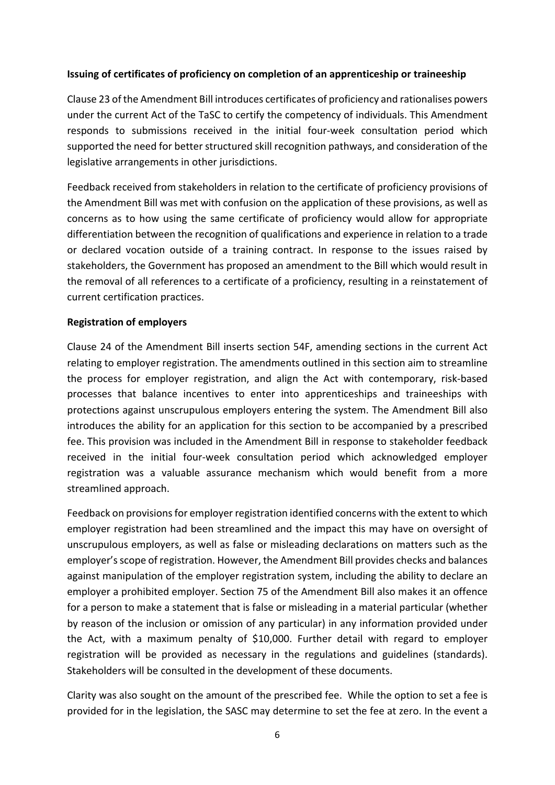#### **Issuing of certificates of proficiency on completion of an apprenticeship or traineeship**

Clause 23 of the Amendment Bill introduces certificates of proficiency and rationalises powers under the current Act of the TaSC to certify the competency of individuals. This Amendment responds to submissions received in the initial four-week consultation period which supported the need for better structured skill recognition pathways, and consideration of the legislative arrangements in other jurisdictions.

Feedback received from stakeholders in relation to the certificate of proficiency provisions of the Amendment Bill was met with confusion on the application of these provisions, as well as concerns as to how using the same certificate of proficiency would allow for appropriate differentiation between the recognition of qualifications and experience in relation to a trade or declared vocation outside of a training contract. In response to the issues raised by stakeholders, the Government has proposed an amendment to the Bill which would result in the removal of all references to a certificate of a proficiency, resulting in a reinstatement of current certification practices.

#### **Registration of employers**

Clause 24 of the Amendment Bill inserts section 54F, amending sections in the current Act relating to employer registration. The amendments outlined in this section aim to streamline the process for employer registration, and align the Act with contemporary, risk‐based processes that balance incentives to enter into apprenticeships and traineeships with protections against unscrupulous employers entering the system. The Amendment Bill also introduces the ability for an application for this section to be accompanied by a prescribed fee. This provision was included in the Amendment Bill in response to stakeholder feedback received in the initial four‐week consultation period which acknowledged employer registration was a valuable assurance mechanism which would benefit from a more streamlined approach.

Feedback on provisions for employer registration identified concerns with the extent to which employer registration had been streamlined and the impact this may have on oversight of unscrupulous employers, as well as false or misleading declarations on matters such as the employer's scope of registration. However, the Amendment Bill provides checks and balances against manipulation of the employer registration system, including the ability to declare an employer a prohibited employer. Section 75 of the Amendment Bill also makes it an offence for a person to make a statement that is false or misleading in a material particular (whether by reason of the inclusion or omission of any particular) in any information provided under the Act, with a maximum penalty of \$10,000. Further detail with regard to employer registration will be provided as necessary in the regulations and guidelines (standards). Stakeholders will be consulted in the development of these documents.

Clarity was also sought on the amount of the prescribed fee. While the option to set a fee is provided for in the legislation, the SASC may determine to set the fee at zero. In the event a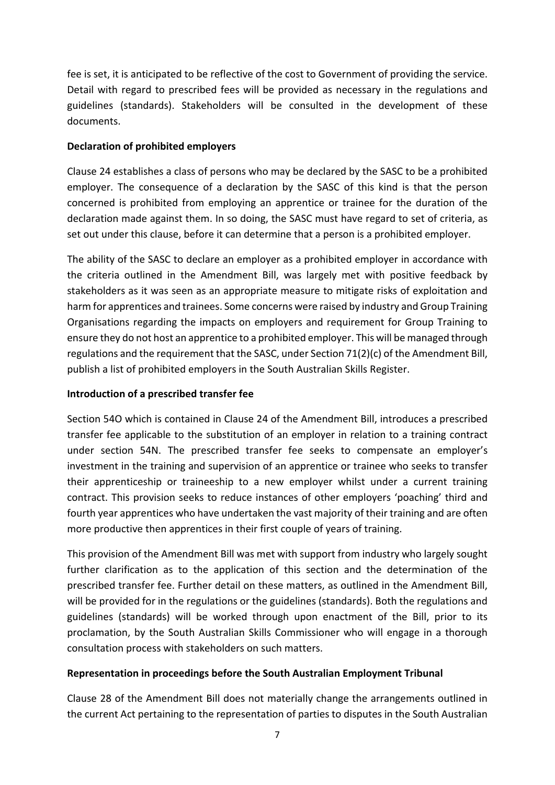fee is set, it is anticipated to be reflective of the cost to Government of providing the service. Detail with regard to prescribed fees will be provided as necessary in the regulations and guidelines (standards). Stakeholders will be consulted in the development of these documents.

## **Declaration of prohibited employers**

Clause 24 establishes a class of persons who may be declared by the SASC to be a prohibited employer. The consequence of a declaration by the SASC of this kind is that the person concerned is prohibited from employing an apprentice or trainee for the duration of the declaration made against them. In so doing, the SASC must have regard to set of criteria, as set out under this clause, before it can determine that a person is a prohibited employer.

The ability of the SASC to declare an employer as a prohibited employer in accordance with the criteria outlined in the Amendment Bill, was largely met with positive feedback by stakeholders as it was seen as an appropriate measure to mitigate risks of exploitation and harm for apprentices and trainees. Some concerns were raised by industry and Group Training Organisations regarding the impacts on employers and requirement for Group Training to ensure they do not host an apprentice to a prohibited employer. This will be managed through regulations and the requirement that the SASC, under Section 71(2)(c) of the Amendment Bill, publish a list of prohibited employers in the South Australian Skills Register.

# **Introduction of a prescribed transfer fee**

Section 54O which is contained in Clause 24 of the Amendment Bill, introduces a prescribed transfer fee applicable to the substitution of an employer in relation to a training contract under section 54N. The prescribed transfer fee seeks to compensate an employer's investment in the training and supervision of an apprentice or trainee who seeks to transfer their apprenticeship or traineeship to a new employer whilst under a current training contract. This provision seeks to reduce instances of other employers 'poaching' third and fourth year apprentices who have undertaken the vast majority of their training and are often more productive then apprentices in their first couple of years of training.

This provision of the Amendment Bill was met with support from industry who largely sought further clarification as to the application of this section and the determination of the prescribed transfer fee. Further detail on these matters, as outlined in the Amendment Bill, will be provided for in the regulations or the guidelines (standards). Both the regulations and guidelines (standards) will be worked through upon enactment of the Bill, prior to its proclamation, by the South Australian Skills Commissioner who will engage in a thorough consultation process with stakeholders on such matters.

# **Representation in proceedings before the South Australian Employment Tribunal**

Clause 28 of the Amendment Bill does not materially change the arrangements outlined in the current Act pertaining to the representation of parties to disputes in the South Australian